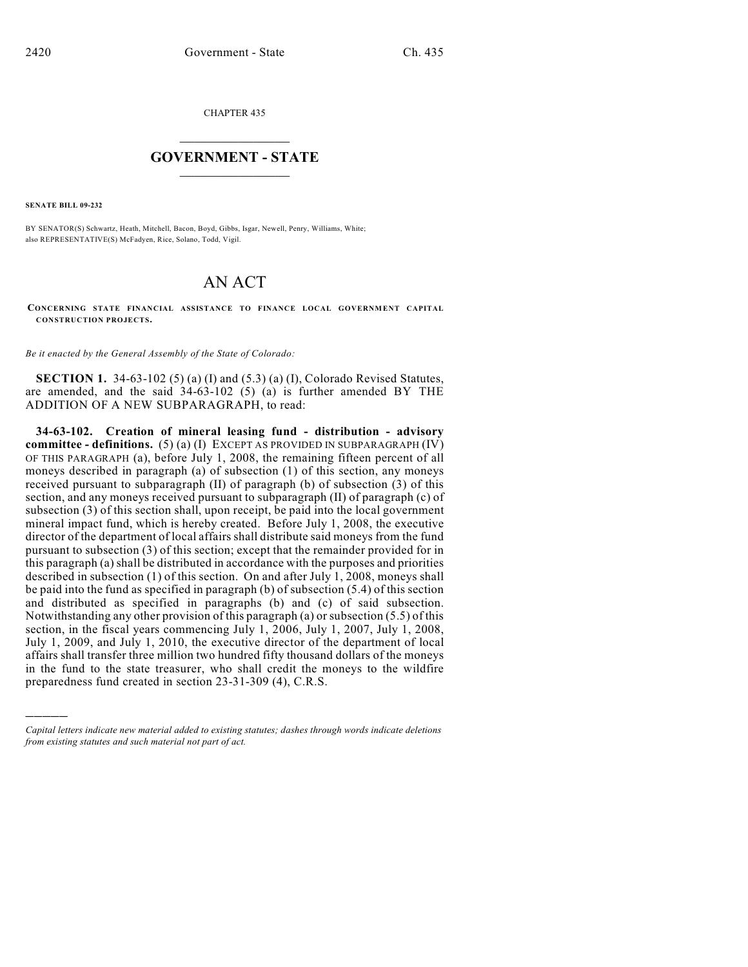CHAPTER 435

## $\overline{\phantom{a}}$  . The set of the set of the set of the set of the set of the set of the set of the set of the set of the set of the set of the set of the set of the set of the set of the set of the set of the set of the set o **GOVERNMENT - STATE**  $\_$

**SENATE BILL 09-232**

)))))

BY SENATOR(S) Schwartz, Heath, Mitchell, Bacon, Boyd, Gibbs, Isgar, Newell, Penry, Williams, White; also REPRESENTATIVE(S) McFadyen, Rice, Solano, Todd, Vigil.

## AN ACT

**CONCERNING STATE FINANCIAL ASSISTANCE TO FINANCE LOCAL GOVERNMENT CAPITAL CONSTRUCTION PROJECTS.**

*Be it enacted by the General Assembly of the State of Colorado:*

**SECTION 1.** 34-63-102 (5) (a) (I) and (5.3) (a) (I), Colorado Revised Statutes, are amended, and the said 34-63-102 (5) (a) is further amended BY THE ADDITION OF A NEW SUBPARAGRAPH, to read:

**34-63-102. Creation of mineral leasing fund - distribution - advisory committee - definitions.** (5) (a) (I) EXCEPT AS PROVIDED IN SUBPARAGRAPH (IV) OF THIS PARAGRAPH (a), before July 1, 2008, the remaining fifteen percent of all moneys described in paragraph (a) of subsection (1) of this section, any moneys received pursuant to subparagraph (II) of paragraph (b) of subsection (3) of this section, and any moneys received pursuant to subparagraph (II) of paragraph (c) of subsection (3) of this section shall, upon receipt, be paid into the local government mineral impact fund, which is hereby created. Before July 1, 2008, the executive director of the department of local affairs shall distribute said moneys from the fund pursuant to subsection (3) of this section; except that the remainder provided for in this paragraph (a) shall be distributed in accordance with the purposes and priorities described in subsection (1) of this section. On and after July 1, 2008, moneys shall be paid into the fund as specified in paragraph (b) of subsection (5.4) of this section and distributed as specified in paragraphs (b) and (c) of said subsection. Notwithstanding any other provision of this paragraph (a) or subsection (5.5) of this section, in the fiscal years commencing July 1, 2006, July 1, 2007, July 1, 2008, July 1, 2009, and July 1, 2010, the executive director of the department of local affairs shall transfer three million two hundred fifty thousand dollars of the moneys in the fund to the state treasurer, who shall credit the moneys to the wildfire preparedness fund created in section 23-31-309 (4), C.R.S.

*Capital letters indicate new material added to existing statutes; dashes through words indicate deletions from existing statutes and such material not part of act.*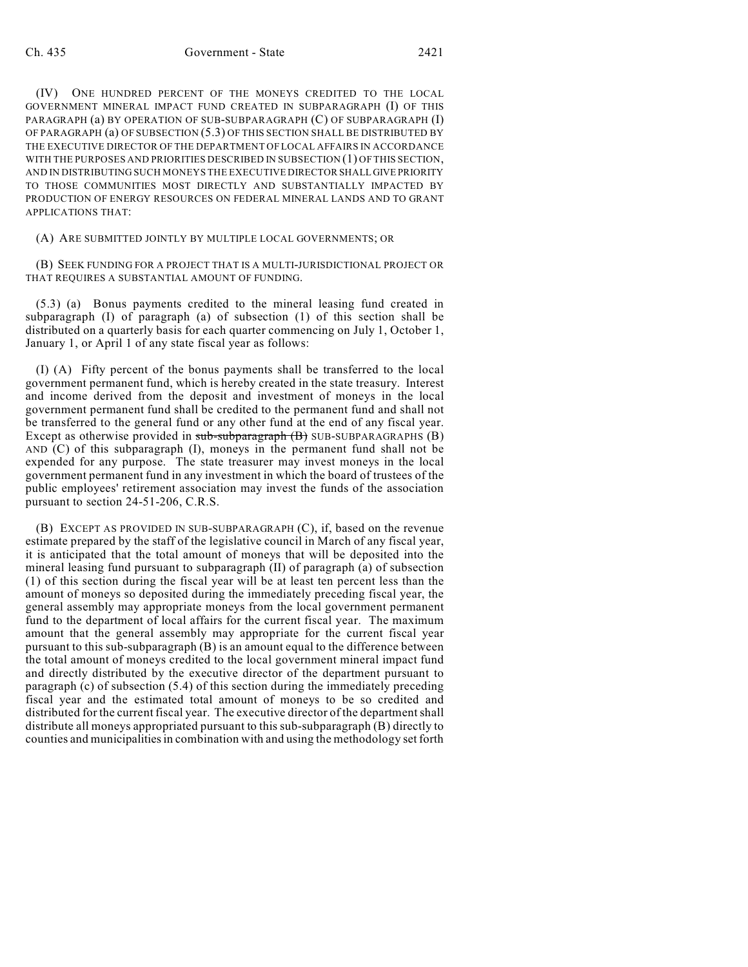(IV) ONE HUNDRED PERCENT OF THE MONEYS CREDITED TO THE LOCAL GOVERNMENT MINERAL IMPACT FUND CREATED IN SUBPARAGRAPH (I) OF THIS PARAGRAPH (a) BY OPERATION OF SUB-SUBPARAGRAPH (C) OF SUBPARAGRAPH (I) OF PARAGRAPH (a) OF SUBSECTION (5.3) OF THIS SECTION SHALL BE DISTRIBUTED BY THE EXECUTIVE DIRECTOR OF THE DEPARTMENT OF LOCAL AFFAIRS IN ACCORDANCE WITH THE PURPOSES AND PRIORITIES DESCRIBED IN SUBSECTION (1) OF THIS SECTION, AND IN DISTRIBUTING SUCH MONEYS THE EXECUTIVE DIRECTOR SHALL GIVE PRIORITY TO THOSE COMMUNITIES MOST DIRECTLY AND SUBSTANTIALLY IMPACTED BY PRODUCTION OF ENERGY RESOURCES ON FEDERAL MINERAL LANDS AND TO GRANT APPLICATIONS THAT:

(A) ARE SUBMITTED JOINTLY BY MULTIPLE LOCAL GOVERNMENTS; OR

(B) SEEK FUNDING FOR A PROJECT THAT IS A MULTI-JURISDICTIONAL PROJECT OR THAT REQUIRES A SUBSTANTIAL AMOUNT OF FUNDING.

(5.3) (a) Bonus payments credited to the mineral leasing fund created in subparagraph (I) of paragraph (a) of subsection (1) of this section shall be distributed on a quarterly basis for each quarter commencing on July 1, October 1, January 1, or April 1 of any state fiscal year as follows:

(I) (A) Fifty percent of the bonus payments shall be transferred to the local government permanent fund, which is hereby created in the state treasury. Interest and income derived from the deposit and investment of moneys in the local government permanent fund shall be credited to the permanent fund and shall not be transferred to the general fund or any other fund at the end of any fiscal year. Except as otherwise provided in sub-subparagraph (B) SUB-SUBPARAGRAPHS (B) AND (C) of this subparagraph (I), moneys in the permanent fund shall not be expended for any purpose. The state treasurer may invest moneys in the local government permanent fund in any investment in which the board of trustees of the public employees' retirement association may invest the funds of the association pursuant to section 24-51-206, C.R.S.

(B) EXCEPT AS PROVIDED IN SUB-SUBPARAGRAPH (C), if, based on the revenue estimate prepared by the staff of the legislative council in March of any fiscal year, it is anticipated that the total amount of moneys that will be deposited into the mineral leasing fund pursuant to subparagraph (II) of paragraph (a) of subsection (1) of this section during the fiscal year will be at least ten percent less than the amount of moneys so deposited during the immediately preceding fiscal year, the general assembly may appropriate moneys from the local government permanent fund to the department of local affairs for the current fiscal year. The maximum amount that the general assembly may appropriate for the current fiscal year pursuant to this sub-subparagraph (B) is an amount equal to the difference between the total amount of moneys credited to the local government mineral impact fund and directly distributed by the executive director of the department pursuant to paragraph (c) of subsection (5.4) of this section during the immediately preceding fiscal year and the estimated total amount of moneys to be so credited and distributed for the current fiscal year. The executive director of the department shall distribute all moneys appropriated pursuant to this sub-subparagraph (B) directly to counties and municipalities in combination with and using the methodology set forth